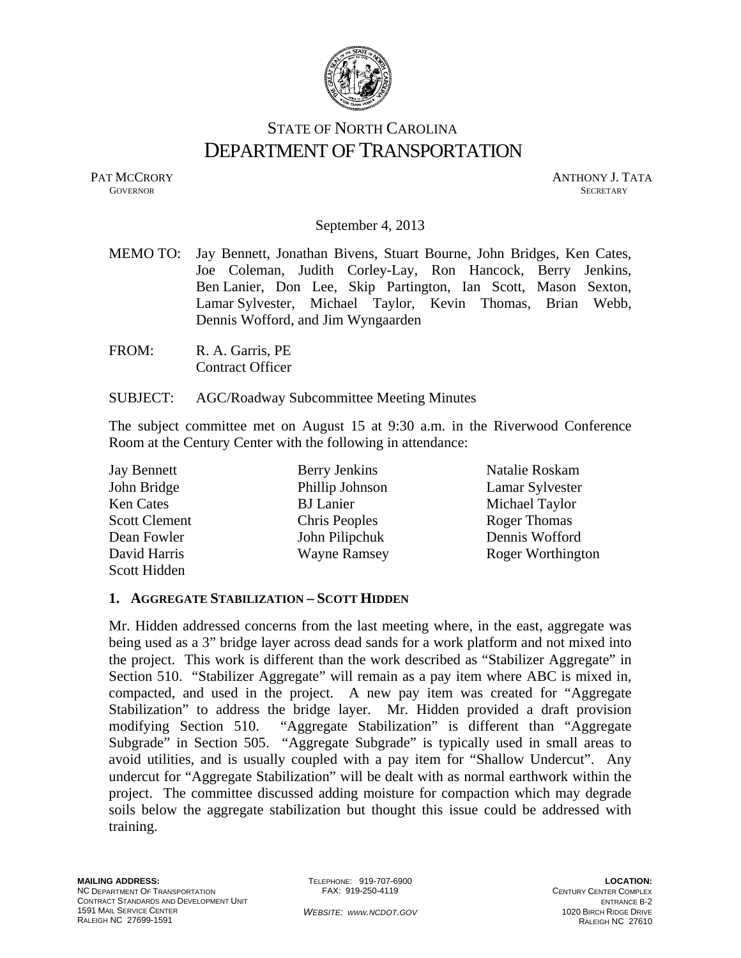

# STATE OF NORTH CAROLINA DEPARTMENT OF TRANSPORTATION

PAT MCCRORY ANTHONY J. TATA **GOVERNOR** SECRETARY

#### September 4, 2013

- MEMO TO: Jay Bennett, Jonathan Bivens, Stuart Bourne, John Bridges, Ken Cates, Joe Coleman, Judith Corley-Lay, Ron Hancock, Berry Jenkins, Ben Lanier, Don Lee, Skip Partington, Ian Scott, Mason Sexton, Lamar Sylvester, Michael Taylor, Kevin Thomas, Brian Webb, Dennis Wofford, and Jim Wyngaarden
- FROM: R. A. Garris, PE Contract Officer

#### SUBJECT: AGC/Roadway Subcommittee Meeting Minutes

The subject committee met on August 15 at 9:30 a.m. in the Riverwood Conference Room at the Century Center with the following in attendance:

| <b>Jay Bennett</b>   | Berry Jenkins        | Natalie Roskam           |
|----------------------|----------------------|--------------------------|
| John Bridge          | Phillip Johnson      | Lamar Sylvester          |
| <b>Ken Cates</b>     | <b>BJ</b> Lanier     | Michael Taylor           |
| <b>Scott Clement</b> | <b>Chris Peoples</b> | <b>Roger Thomas</b>      |
| Dean Fowler          | John Pilipchuk       | Dennis Wofford           |
| David Harris         | <b>Wayne Ramsey</b>  | <b>Roger Worthington</b> |
| Scott Hidden         |                      |                          |

#### **1. AGGREGATE STABILIZATION – SCOTT HIDDEN**

Mr. Hidden addressed concerns from the last meeting where, in the east, aggregate was being used as a 3" bridge layer across dead sands for a work platform and not mixed into the project. This work is different than the work described as "Stabilizer Aggregate" in Section 510. "Stabilizer Aggregate" will remain as a pay item where ABC is mixed in, compacted, and used in the project. A new pay item was created for "Aggregate Stabilization" to address the bridge layer. Mr. Hidden provided a draft provision modifying Section 510. "Aggregate Stabilization" is different than "Aggregate Subgrade" in Section 505. "Aggregate Subgrade" is typically used in small areas to avoid utilities, and is usually coupled with a pay item for "Shallow Undercut". Any undercut for "Aggregate Stabilization" will be dealt with as normal earthwork within the project. The committee discussed adding moisture for compaction which may degrade soils below the aggregate stabilization but thought this issue could be addressed with training.

TELEPHONE: 919-707-6900 FAX: 919-250-4119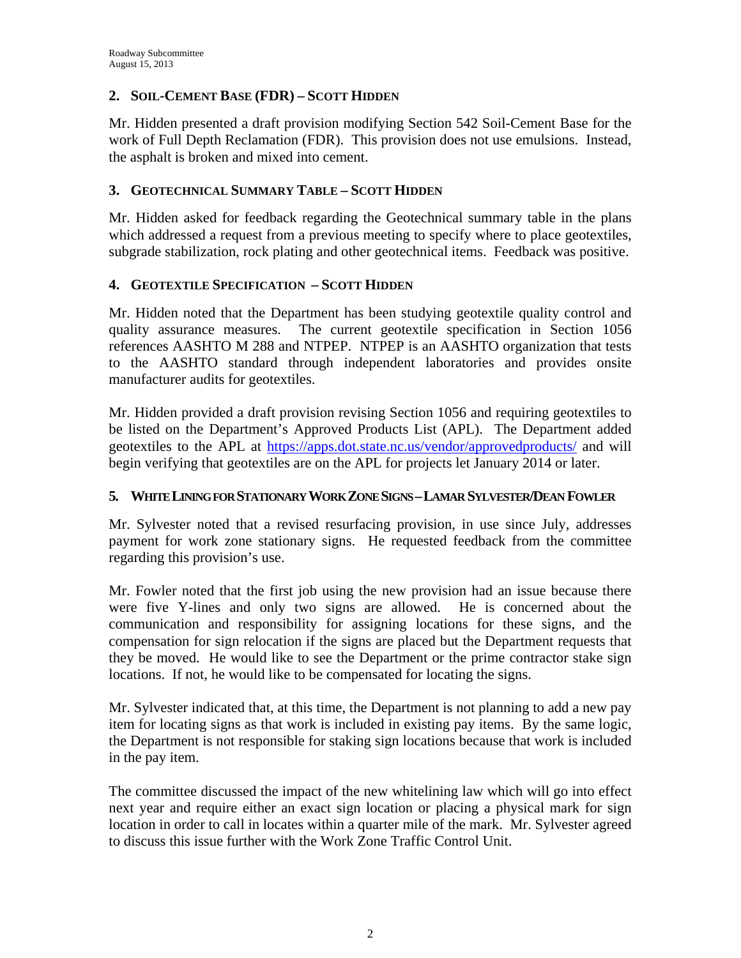## **2. SOIL-CEMENT BASE (FDR) – SCOTT HIDDEN**

Mr. Hidden presented a draft provision modifying Section 542 Soil-Cement Base for the work of Full Depth Reclamation (FDR). This provision does not use emulsions. Instead, the asphalt is broken and mixed into cement.

### **3. GEOTECHNICAL SUMMARY TABLE – SCOTT HIDDEN**

Mr. Hidden asked for feedback regarding the Geotechnical summary table in the plans which addressed a request from a previous meeting to specify where to place geotextiles, subgrade stabilization, rock plating and other geotechnical items. Feedback was positive.

#### **4. GEOTEXTILE SPECIFICATION – SCOTT HIDDEN**

Mr. Hidden noted that the Department has been studying geotextile quality control and quality assurance measures. The current geotextile specification in Section 1056 references AASHTO M 288 and NTPEP. NTPEP is an AASHTO organization that tests to the AASHTO standard through independent laboratories and provides onsite manufacturer audits for geotextiles.

Mr. Hidden provided a draft provision revising Section 1056 and requiring geotextiles to be listed on the Department's Approved Products List (APL). The Department added geotextiles to the APL at https://apps.dot.state.nc.us/vendor/approvedproducts/ and will begin verifying that geotextiles are on the APL for projects let January 2014 or later.

#### **5. WHITE LINING FOR STATIONARY WORK ZONE SIGNS –LAMAR SYLVESTER/DEAN FOWLER**

Mr. Sylvester noted that a revised resurfacing provision, in use since July, addresses payment for work zone stationary signs. He requested feedback from the committee regarding this provision's use.

Mr. Fowler noted that the first job using the new provision had an issue because there were five Y-lines and only two signs are allowed. He is concerned about the communication and responsibility for assigning locations for these signs, and the compensation for sign relocation if the signs are placed but the Department requests that they be moved. He would like to see the Department or the prime contractor stake sign locations. If not, he would like to be compensated for locating the signs.

Mr. Sylvester indicated that, at this time, the Department is not planning to add a new pay item for locating signs as that work is included in existing pay items. By the same logic, the Department is not responsible for staking sign locations because that work is included in the pay item.

The committee discussed the impact of the new whitelining law which will go into effect next year and require either an exact sign location or placing a physical mark for sign location in order to call in locates within a quarter mile of the mark. Mr. Sylvester agreed to discuss this issue further with the Work Zone Traffic Control Unit.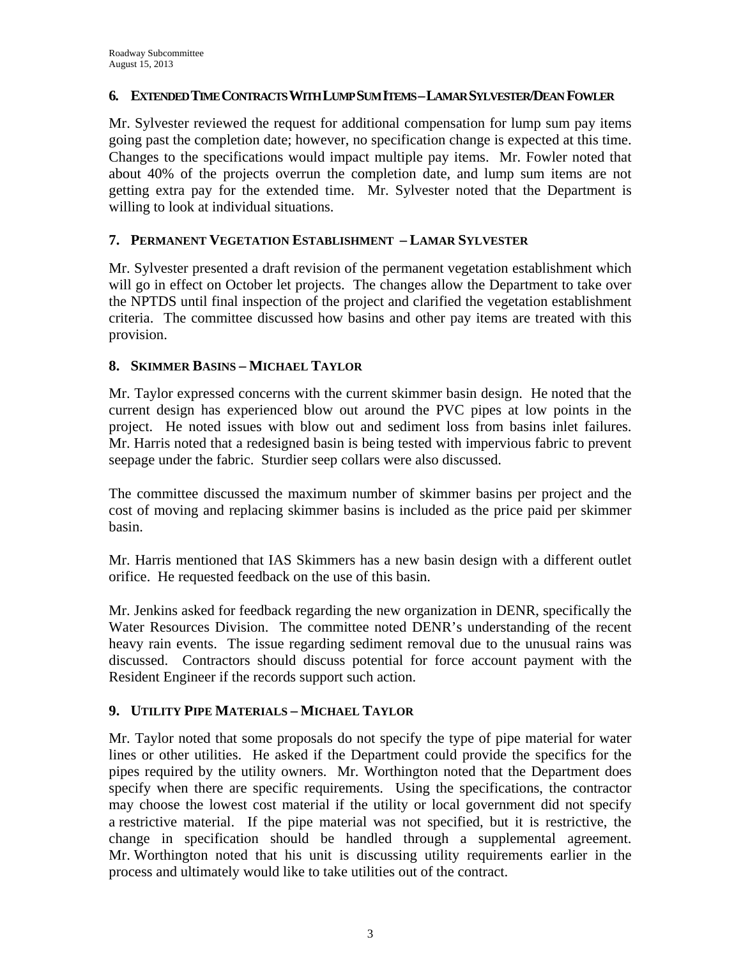#### **6. EXTENDED TIME CONTRACTS WITH LUMP SUM ITEMS –LAMAR SYLVESTER/DEAN FOWLER**

Mr. Sylvester reviewed the request for additional compensation for lump sum pay items going past the completion date; however, no specification change is expected at this time. Changes to the specifications would impact multiple pay items. Mr. Fowler noted that about 40% of the projects overrun the completion date, and lump sum items are not getting extra pay for the extended time. Mr. Sylvester noted that the Department is willing to look at individual situations.

### **7. PERMANENT VEGETATION ESTABLISHMENT – LAMAR SYLVESTER**

Mr. Sylvester presented a draft revision of the permanent vegetation establishment which will go in effect on October let projects. The changes allow the Department to take over the NPTDS until final inspection of the project and clarified the vegetation establishment criteria. The committee discussed how basins and other pay items are treated with this provision.

#### **8. SKIMMER BASINS – MICHAEL TAYLOR**

Mr. Taylor expressed concerns with the current skimmer basin design. He noted that the current design has experienced blow out around the PVC pipes at low points in the project. He noted issues with blow out and sediment loss from basins inlet failures. Mr. Harris noted that a redesigned basin is being tested with impervious fabric to prevent seepage under the fabric. Sturdier seep collars were also discussed.

The committee discussed the maximum number of skimmer basins per project and the cost of moving and replacing skimmer basins is included as the price paid per skimmer basin.

Mr. Harris mentioned that IAS Skimmers has a new basin design with a different outlet orifice. He requested feedback on the use of this basin.

Mr. Jenkins asked for feedback regarding the new organization in DENR, specifically the Water Resources Division. The committee noted DENR's understanding of the recent heavy rain events. The issue regarding sediment removal due to the unusual rains was discussed. Contractors should discuss potential for force account payment with the Resident Engineer if the records support such action.

## **9. UTILITY PIPE MATERIALS – MICHAEL TAYLOR**

Mr. Taylor noted that some proposals do not specify the type of pipe material for water lines or other utilities. He asked if the Department could provide the specifics for the pipes required by the utility owners. Mr. Worthington noted that the Department does specify when there are specific requirements. Using the specifications, the contractor may choose the lowest cost material if the utility or local government did not specify a restrictive material. If the pipe material was not specified, but it is restrictive, the change in specification should be handled through a supplemental agreement. Mr. Worthington noted that his unit is discussing utility requirements earlier in the process and ultimately would like to take utilities out of the contract.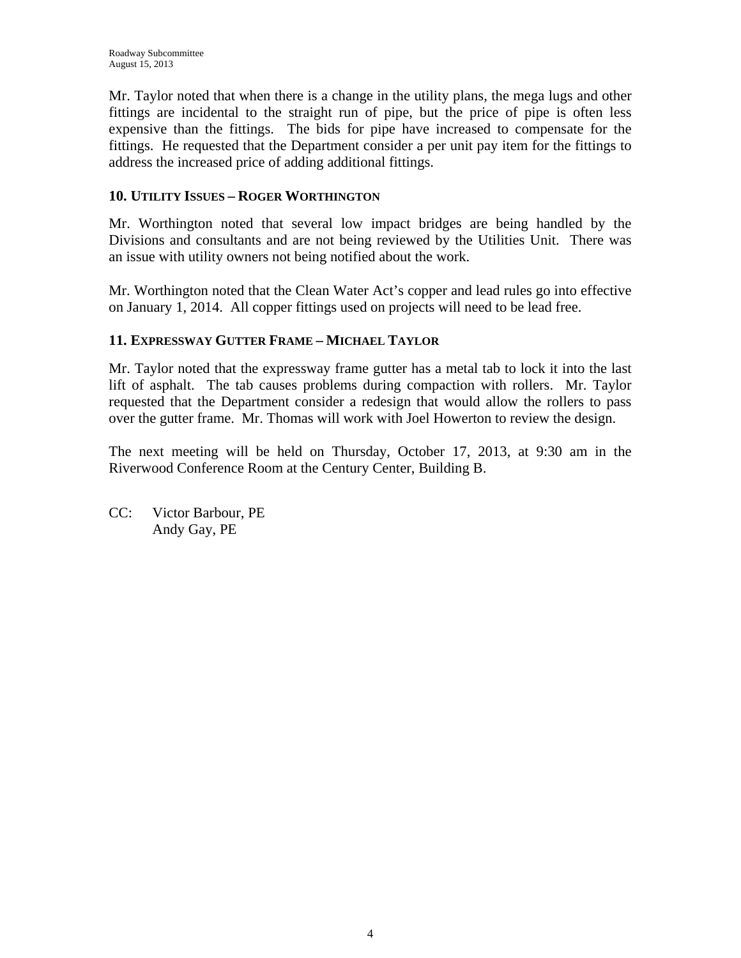Mr. Taylor noted that when there is a change in the utility plans, the mega lugs and other fittings are incidental to the straight run of pipe, but the price of pipe is often less expensive than the fittings. The bids for pipe have increased to compensate for the fittings. He requested that the Department consider a per unit pay item for the fittings to address the increased price of adding additional fittings.

### **10. UTILITY ISSUES – ROGER WORTHINGTON**

Mr. Worthington noted that several low impact bridges are being handled by the Divisions and consultants and are not being reviewed by the Utilities Unit. There was an issue with utility owners not being notified about the work.

Mr. Worthington noted that the Clean Water Act's copper and lead rules go into effective on January 1, 2014. All copper fittings used on projects will need to be lead free.

#### **11. EXPRESSWAY GUTTER FRAME – MICHAEL TAYLOR**

Mr. Taylor noted that the expressway frame gutter has a metal tab to lock it into the last lift of asphalt. The tab causes problems during compaction with rollers. Mr. Taylor requested that the Department consider a redesign that would allow the rollers to pass over the gutter frame. Mr. Thomas will work with Joel Howerton to review the design.

The next meeting will be held on Thursday, October 17, 2013, at 9:30 am in the Riverwood Conference Room at the Century Center, Building B.

CC: Victor Barbour, PE Andy Gay, PE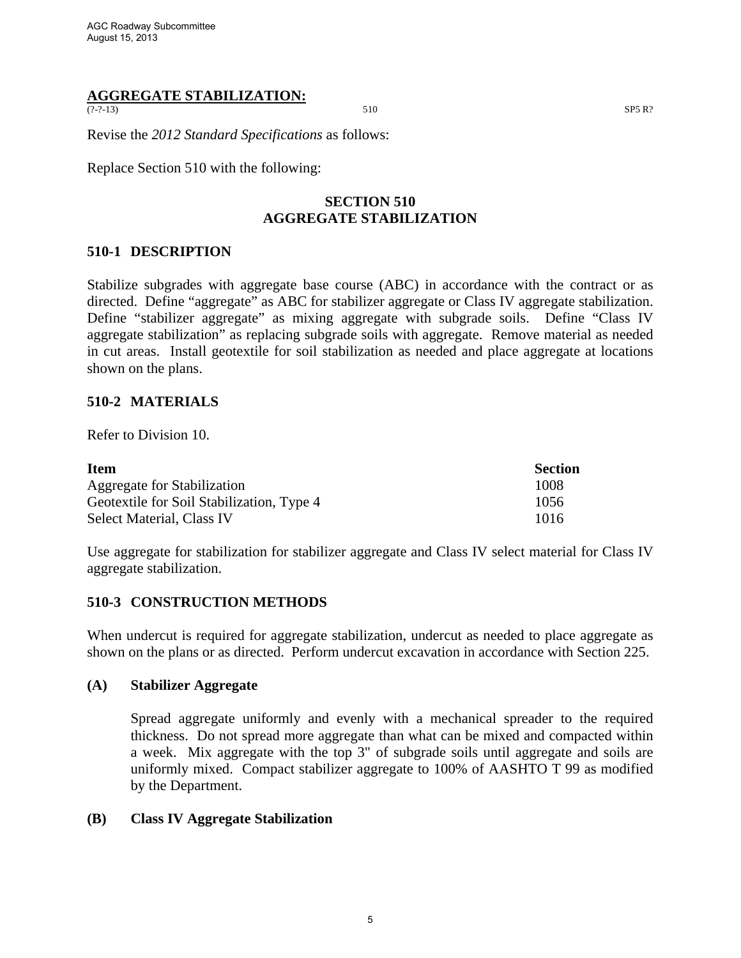# **AGGREGATE STABILIZATION:**

 $(2-2-13)$  SP5 R?

Revise the *2012 Standard Specifications* as follows:

Replace Section 510 with the following:

### **SECTION 510 AGGREGATE STABILIZATION**

#### **510-1 DESCRIPTION**

Stabilize subgrades with aggregate base course (ABC) in accordance with the contract or as directed. Define "aggregate" as ABC for stabilizer aggregate or Class IV aggregate stabilization. Define "stabilizer aggregate" as mixing aggregate with subgrade soils. Define "Class IV aggregate stabilization" as replacing subgrade soils with aggregate. Remove material as needed in cut areas. Install geotextile for soil stabilization as needed and place aggregate at locations shown on the plans.

#### **510-2 MATERIALS**

Refer to Division 10.

| <b>Item</b>                               | <b>Section</b> |
|-------------------------------------------|----------------|
| Aggregate for Stabilization               | 1008           |
| Geotextile for Soil Stabilization, Type 4 | 1056           |
| Select Material, Class IV                 | 1016           |

Use aggregate for stabilization for stabilizer aggregate and Class IV select material for Class IV aggregate stabilization.

#### **510-3 CONSTRUCTION METHODS**

When undercut is required for aggregate stabilization, undercut as needed to place aggregate as shown on the plans or as directed. Perform undercut excavation in accordance with Section 225.

#### **(A) Stabilizer Aggregate**

Spread aggregate uniformly and evenly with a mechanical spreader to the required thickness. Do not spread more aggregate than what can be mixed and compacted within a week. Mix aggregate with the top 3" of subgrade soils until aggregate and soils are uniformly mixed. Compact stabilizer aggregate to 100% of AASHTO T 99 as modified by the Department.

#### **(B) Class IV Aggregate Stabilization**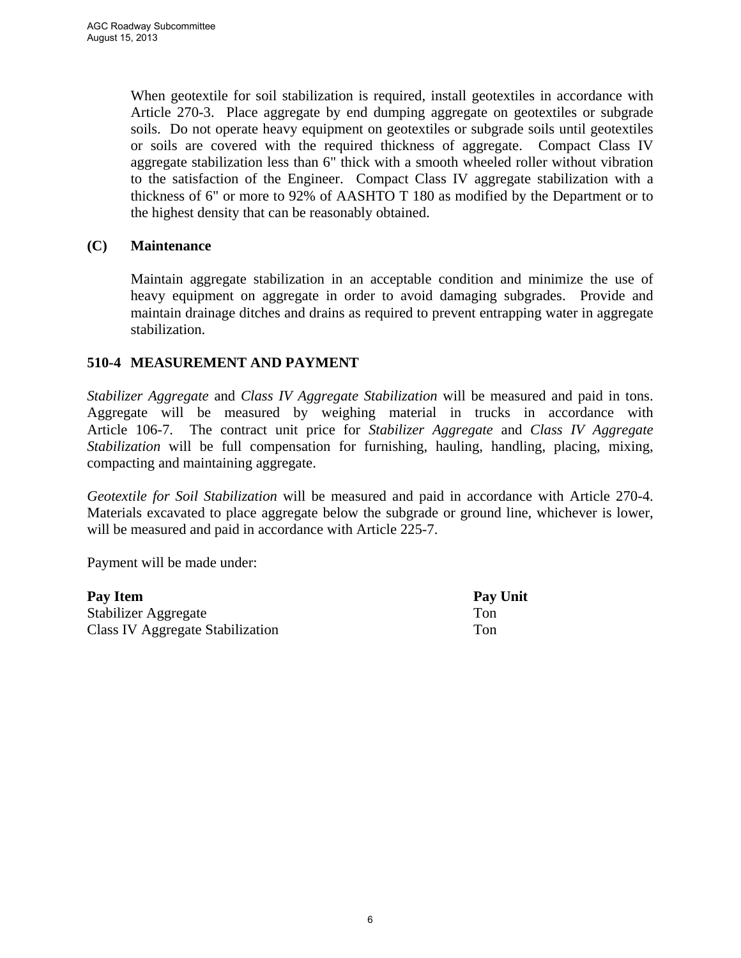When geotextile for soil stabilization is required, install geotextiles in accordance with Article 270-3. Place aggregate by end dumping aggregate on geotextiles or subgrade soils. Do not operate heavy equipment on geotextiles or subgrade soils until geotextiles or soils are covered with the required thickness of aggregate. Compact Class IV aggregate stabilization less than 6" thick with a smooth wheeled roller without vibration to the satisfaction of the Engineer. Compact Class IV aggregate stabilization with a thickness of 6" or more to 92% of AASHTO T 180 as modified by the Department or to the highest density that can be reasonably obtained.

#### **(C) Maintenance**

Maintain aggregate stabilization in an acceptable condition and minimize the use of heavy equipment on aggregate in order to avoid damaging subgrades. Provide and maintain drainage ditches and drains as required to prevent entrapping water in aggregate stabilization.

#### **510-4 MEASUREMENT AND PAYMENT**

*Stabilizer Aggregate* and *Class IV Aggregate Stabilization* will be measured and paid in tons. Aggregate will be measured by weighing material in trucks in accordance with Article 106-7. The contract unit price for *Stabilizer Aggregate* and *Class IV Aggregate Stabilization* will be full compensation for furnishing, hauling, handling, placing, mixing, compacting and maintaining aggregate.

*Geotextile for Soil Stabilization* will be measured and paid in accordance with Article 270-4. Materials excavated to place aggregate below the subgrade or ground line, whichever is lower, will be measured and paid in accordance with Article 225-7.

Payment will be made under:

| Pay Item                         | Pay Unit |
|----------------------------------|----------|
| Stabilizer Aggregate             | Ton      |
| Class IV Aggregate Stabilization | Ton.     |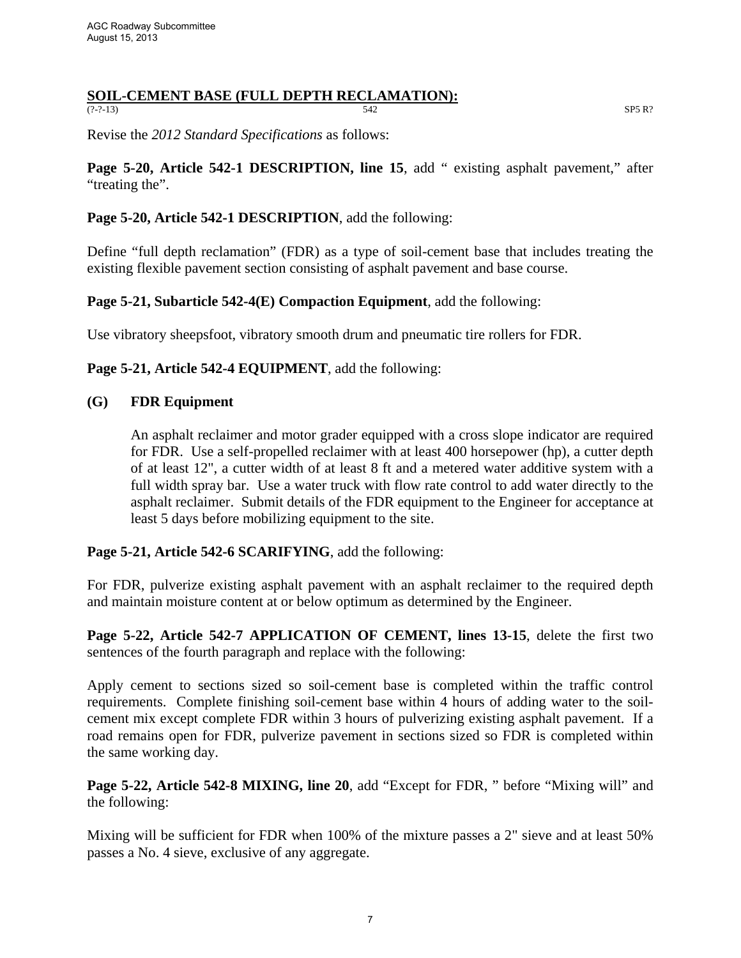#### **SOIL-CEMENT BASE (FULL DEPTH RECLAMATION):**<br> $\frac{672}{542}$  $(2-2-13)$  SP5 R?

Revise the *2012 Standard Specifications* as follows:

**Page 5-20, Article 542-1 DESCRIPTION, line 15**, add " existing asphalt pavement," after "treating the".

#### **Page 5-20, Article 542-1 DESCRIPTION**, add the following:

Define "full depth reclamation" (FDR) as a type of soil-cement base that includes treating the existing flexible pavement section consisting of asphalt pavement and base course.

#### **Page 5-21, Subarticle 542-4(E) Compaction Equipment**, add the following:

Use vibratory sheepsfoot, vibratory smooth drum and pneumatic tire rollers for FDR.

**Page 5-21, Article 542-4 EQUIPMENT**, add the following:

#### **(G) FDR Equipment**

An asphalt reclaimer and motor grader equipped with a cross slope indicator are required for FDR. Use a self-propelled reclaimer with at least 400 horsepower (hp), a cutter depth of at least 12", a cutter width of at least 8 ft and a metered water additive system with a full width spray bar. Use a water truck with flow rate control to add water directly to the asphalt reclaimer. Submit details of the FDR equipment to the Engineer for acceptance at least 5 days before mobilizing equipment to the site.

**Page 5-21, Article 542-6 SCARIFYING**, add the following:

For FDR, pulverize existing asphalt pavement with an asphalt reclaimer to the required depth and maintain moisture content at or below optimum as determined by the Engineer.

**Page 5-22, Article 542-7 APPLICATION OF CEMENT, lines 13-15**, delete the first two sentences of the fourth paragraph and replace with the following:

Apply cement to sections sized so soil-cement base is completed within the traffic control requirements. Complete finishing soil-cement base within 4 hours of adding water to the soilcement mix except complete FDR within 3 hours of pulverizing existing asphalt pavement. If a road remains open for FDR, pulverize pavement in sections sized so FDR is completed within the same working day.

**Page 5-22, Article 542-8 MIXING, line 20**, add "Except for FDR, " before "Mixing will" and the following:

Mixing will be sufficient for FDR when 100% of the mixture passes a 2" sieve and at least 50% passes a No. 4 sieve, exclusive of any aggregate.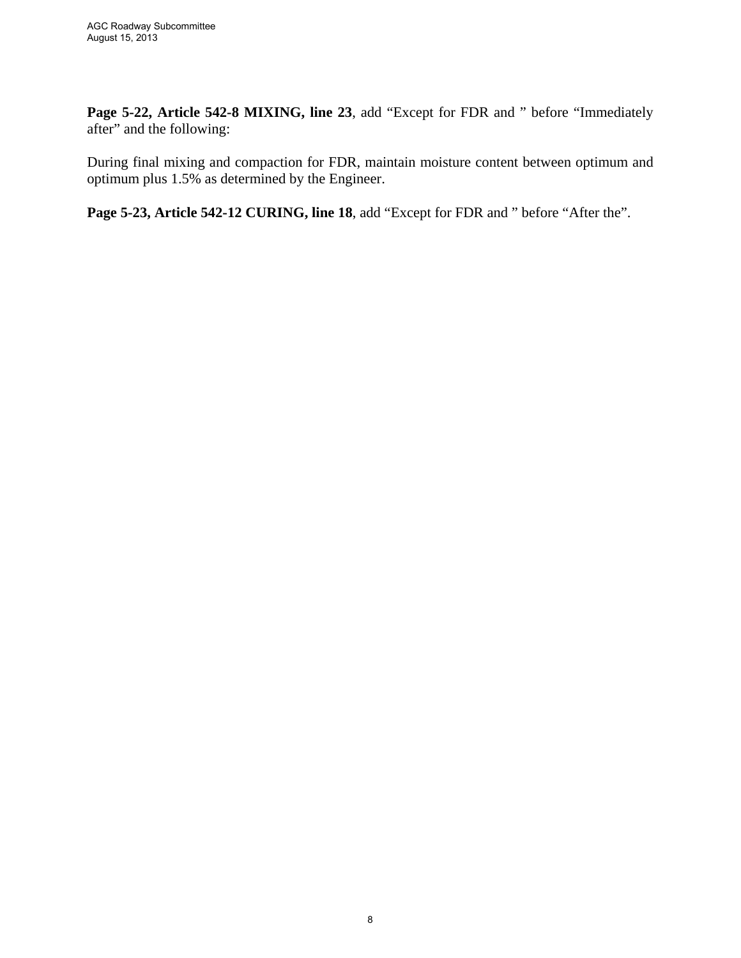**Page 5-22, Article 542-8 MIXING, line 23**, add "Except for FDR and " before "Immediately after" and the following:

During final mixing and compaction for FDR, maintain moisture content between optimum and optimum plus 1.5% as determined by the Engineer.

**Page 5-23, Article 542-12 CURING, line 18**, add "Except for FDR and " before "After the".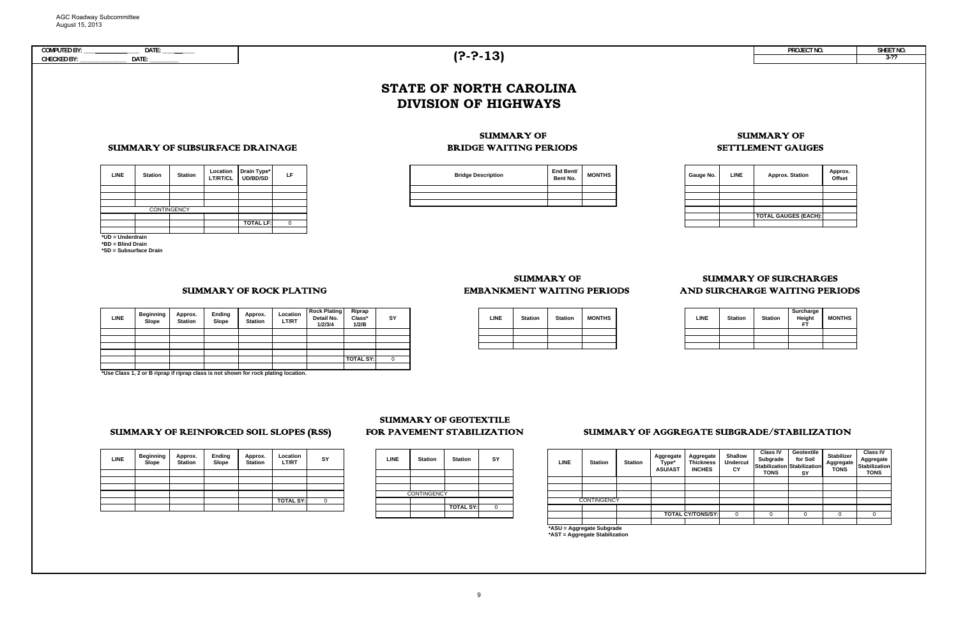| COMPUTED BY:<br>PROJECT NO<br>101<br>$\overline{\phantom{a}}$<br>,,,, <u>.</u> , | SHEET NO |
|----------------------------------------------------------------------------------|----------|
| <b>CHECKED BY:</b><br>DATE:<br>TÔ.                                               |          |

**TOTAL LF:**

0

**\*UD = Underdrain \*BD = Blind Drain \*SD = Subsurface Drain**

**CONTINGENCY** 

**∪ = Aggregate Subgrad \*AST = Aggregate Stabilization**

**\*Use Class 1, 2 or B riprap if riprap class is not shown for rock plating location.**

| <b>LINE</b> | <b>Beginning</b><br>Slope | Approx.<br><b>Station</b> | Ending<br>Slope | Approx.<br><b>Station</b> | Location<br>LT/RT | SY | LINE               | <b>Station</b> | <b>Station</b>   | SY          |
|-------------|---------------------------|---------------------------|-----------------|---------------------------|-------------------|----|--------------------|----------------|------------------|-------------|
|             |                           |                           |                 |                           |                   |    |                    |                |                  |             |
|             |                           |                           |                 |                           |                   |    |                    |                |                  |             |
|             |                           |                           |                 |                           |                   |    |                    |                |                  |             |
|             |                           |                           |                 |                           |                   |    | <b>CONTINGENCY</b> |                |                  |             |
|             |                           |                           |                 |                           | <b>TOTAL SY:</b>  | v  |                    |                |                  |             |
|             |                           |                           |                 |                           |                   |    |                    |                | <b>TOTAL SY:</b> | $\mathbf 0$ |
|             |                           |                           |                 |                           |                   |    |                    |                |                  |             |

| <b>LINE</b> | <b>Station</b> | <b>Station</b>   | SY |
|-------------|----------------|------------------|----|
|             |                |                  |    |
|             |                |                  |    |
|             |                |                  |    |
|             | CONTINGENCY    |                  |    |
|             |                |                  |    |
|             |                | <b>TOTAL SY:</b> |    |
|             |                |                  |    |

#### FOR PAVEMENT STABILIZATION SUMMARY OF GEOTEXTILE

| <b>LINE</b> | <b>Beginning</b><br>Slope | Approx.<br><b>Station</b> | Ending<br>Slope | Approx.<br><b>Station</b> | <b>Location</b><br><b>LT/RT</b> | <b>Rock Plating</b><br>Detail No.<br>1/2/3/4 | Riprap<br>Class*<br>1/2/B | SY |
|-------------|---------------------------|---------------------------|-----------------|---------------------------|---------------------------------|----------------------------------------------|---------------------------|----|
|             |                           |                           |                 |                           |                                 |                                              |                           |    |
|             |                           |                           |                 |                           |                                 |                                              |                           |    |
|             |                           |                           |                 |                           |                                 |                                              |                           |    |
|             |                           |                           |                 |                           |                                 |                                              |                           |    |
|             |                           |                           |                 |                           |                                 |                                              | <b>TOTAL SY:</b>          | 0  |
|             |                           |                           |                 |                           |                                 |                                              |                           |    |

# SUMMARY OF REINFORCED SOIL SLOPES (RSS)

| <b>LINE</b> | <b>Station</b>            | <b>Station</b> | Aggregate<br>Type*<br><b>ASU/AST</b> | Aggregate<br><b>Thickness</b><br><b>INCHES</b> | Shallow<br><b>Undercut</b><br>CY | <b>Class IV</b><br>Subgrade<br><b>TONS</b> | Geotextile<br>for Soil<br><b>Stabilization Stabilization</b><br>SΥ | <b>Stabilizer</b><br>Aggregate<br><b>TONS</b> | <b>Class IV</b><br>Aggregate<br><b>Stabilization</b><br><b>TONS</b> |
|-------------|---------------------------|----------------|--------------------------------------|------------------------------------------------|----------------------------------|--------------------------------------------|--------------------------------------------------------------------|-----------------------------------------------|---------------------------------------------------------------------|
|             |                           |                |                                      |                                                |                                  |                                            |                                                                    |                                               |                                                                     |
|             |                           |                |                                      |                                                |                                  |                                            |                                                                    |                                               |                                                                     |
|             |                           |                |                                      |                                                |                                  |                                            |                                                                    |                                               |                                                                     |
|             | <b>CONTINGENCY</b>        |                |                                      |                                                |                                  |                                            |                                                                    |                                               |                                                                     |
|             |                           |                |                                      |                                                |                                  |                                            |                                                                    |                                               |                                                                     |
|             |                           |                |                                      | <b>TOTAL CY/TONS/SY:</b>                       | $\Omega$                         | 0                                          | $\Omega$                                                           | 0                                             | 0                                                                   |
|             |                           |                |                                      |                                                |                                  |                                            |                                                                    |                                               |                                                                     |
|             | ARII - Agaroanto Rubarado |                |                                      |                                                |                                  |                                            |                                                                    |                                               |                                                                     |

## SUMMARY OF EMBANKMENT WAITING PERIODS

| n | <b>MONTHS</b> | <b>LINE</b> | <b>Station</b> | <b>Station</b> | Surcharge<br>Height<br>ET | <b>MONTHS</b> |
|---|---------------|-------------|----------------|----------------|---------------------------|---------------|
|   |               |             |                |                |                           |               |
|   |               |             |                |                |                           |               |
|   |               |             |                |                |                           |               |

## AND SURCHARGE WAITING PERIODS SUMMARY OF SURCHARGES

| ____   | LIN |
|--------|-----|
| $\sim$ |     |
|        |     |
|        |     |

## SUMMARY OF ROCK PLATING

SUMMARY OF SUBSURFACE DRAINAGE

| <b>LINE</b> | <b>Station</b> | <b>Station</b> | <b>MONTHS</b> |
|-------------|----------------|----------------|---------------|
|             |                |                |               |
|             |                |                |               |
|             |                |                |               |

**LINE Station Station**

**Location LT/RT/CL**

**Drain Type\* UD/BD/SD**

| S | Gauge No. | <b>LINE</b> | <b>Approx. Station</b>      | Approx.<br>Offset |
|---|-----------|-------------|-----------------------------|-------------------|
|   |           |             |                             |                   |
|   |           |             |                             |                   |
|   |           |             |                             |                   |
|   |           |             |                             |                   |
|   |           |             | <b>TOTAL GAUGES (EACH):</b> |                   |
|   |           |             |                             |                   |

### BRIDGE WAITING PERIODS SUMMARY OF

# SUMMARY OF AGGREGATE SUBGRADE/STABILIZATION

# **(?-?-13)**

| ۱e*<br>D | LF | <b>Bridge Description</b> | End Bent/<br>Bent No. | <b>MONTHS</b> |
|----------|----|---------------------------|-----------------------|---------------|
|          |    |                           |                       |               |
|          |    |                           |                       |               |
|          |    |                           |                       |               |
|          |    |                           |                       |               |

## SUMMARY OF SETTLEMENT GAUGES

# **STATE OF NORTH CAROLINADIVISION OF HIGHWAYS**

#### 9

| PROJECT NO. | SHEET NO. |
|-------------|-----------|
|             |           |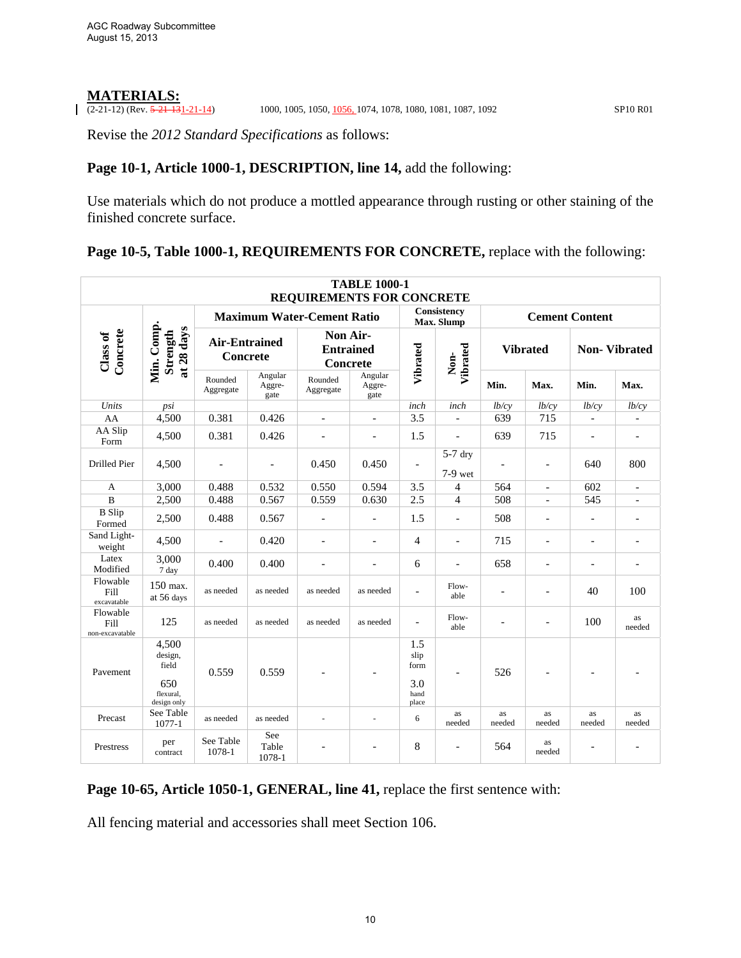# **MATERIALS:**<br> $(2-21-12)$  (Rev.  $\frac{5-21-13}{21-21-14}$ )

(2000, 1005, 1050, 1056, 1074, 1078, 1080, 1081, 1087, 1092 SP10 R01

Revise the *2012 Standard Specifications* as follows:

#### Page 10-1, Article 1000-1, DESCRIPTION, line 14, add the following:

Use materials which do not produce a mottled appearance through rusting or other staining of the finished concrete surface.

#### Page 10-5, Table 1000-1, REQUIREMENTS FOR CONCRETE, replace with the following:

|                                     |                                                              |                                         |                           | <b>REQUIREMENTS FOR CONCRETE</b>         | <b>TABLE 1000-1</b>       |                                             |                           |                          |                          |                          |                          |
|-------------------------------------|--------------------------------------------------------------|-----------------------------------------|---------------------------|------------------------------------------|---------------------------|---------------------------------------------|---------------------------|--------------------------|--------------------------|--------------------------|--------------------------|
|                                     |                                                              |                                         |                           | <b>Maximum Water-Cement Ratio</b>        |                           |                                             | Consistency<br>Max. Slump |                          |                          | <b>Cement Content</b>    |                          |
| Concrete<br>Class of                | Min. Comp.<br>at 28 days<br>Strength                         | <b>Air-Entrained</b><br><b>Concrete</b> |                           | Non Air-<br><b>Entrained</b><br>Concrete |                           | Vibrated                                    | Vibrated<br>Non-          | <b>Vibrated</b>          |                          |                          | <b>Non-Vibrated</b>      |
|                                     |                                                              | Rounded<br>Aggregate                    | Angular<br>Aggre-<br>gate | Rounded<br>Aggregate                     | Angular<br>Aggre-<br>gate |                                             |                           | Min.                     | Max.                     | Min.                     | Max.                     |
| Units                               | psi                                                          |                                         |                           |                                          |                           | inch                                        | inch                      | lb/cy                    | lb/cy                    | lb/cy                    | lb/cy                    |
| AA                                  | 4,500                                                        | 0.381                                   | 0.426                     | $\overline{a}$                           |                           | 3.5                                         |                           | 639                      | 715                      | $\overline{a}$           |                          |
| AA Slip<br>Form                     | 4.500                                                        | 0.381                                   | 0.426                     | $\overline{\phantom{a}}$                 | $\overline{\phantom{0}}$  | 1.5                                         | $\overline{\phantom{a}}$  | 639                      | 715                      | $\overline{\phantom{a}}$ | $\overline{\phantom{a}}$ |
| Drilled Pier                        | 4,500                                                        | L,                                      | $\overline{a}$            | 0.450                                    | 0.450                     | $\blacksquare$                              | $5-7$ dry<br>$7-9$ wet    | $\overline{a}$           | $\overline{a}$           | 640                      | 800                      |
| $\mathbf{A}$                        | 3,000                                                        | 0.488                                   | 0.532                     | 0.550                                    | 0.594                     | 3.5                                         | $\overline{4}$            | 564                      | $\overline{a}$           | 602                      |                          |
| $\overline{B}$                      | 2,500                                                        | 0.488                                   | 0.567                     | 0.559                                    | 0.630                     | 2.5                                         | $\overline{4}$            | 508                      |                          | 545                      |                          |
| <b>B</b> Slip<br>Formed             | 2,500                                                        | 0.488                                   | 0.567                     | $\blacksquare$                           | $\overline{\phantom{a}}$  | 1.5                                         | $\overline{\phantom{a}}$  | 508                      | $\overline{\phantom{a}}$ | $\overline{a}$           | $\overline{a}$           |
| Sand Light-<br>weight               | 4,500                                                        | $\overline{a}$                          | 0.420                     | $\overline{\phantom{a}}$                 | $\overline{a}$            | $\overline{4}$                              | $\overline{a}$            | 715                      | $\overline{a}$           | $\overline{a}$           | $\overline{a}$           |
| Latex<br>Modified                   | 3,000<br>7 day                                               | 0.400                                   | 0.400                     | $\overline{a}$                           | $\overline{a}$            | 6                                           | $\overline{\phantom{a}}$  | 658                      | $\overline{\phantom{a}}$ | ٠                        | $\overline{a}$           |
| Flowable<br>Fill<br>excavatable     | 150 max.<br>at 56 days                                       | as needed                               | as needed                 | as needed                                | as needed                 | $\overline{\phantom{a}}$                    | Flow-<br>able             |                          |                          | 40                       | 100                      |
| Flowable<br>Fill<br>non-excavatable | 125                                                          | as needed                               | as needed                 | as needed                                | as needed                 | $\overline{\phantom{a}}$                    | Flow-<br>able             | $\overline{\phantom{a}}$ | $\overline{\phantom{a}}$ | 100                      | as<br>needed             |
| Pavement                            | 4,500<br>design,<br>field<br>650<br>flexural.<br>design only | 0.559                                   | 0.559                     |                                          |                           | 1.5<br>slip<br>form<br>3.0<br>hand<br>place | $\overline{\phantom{a}}$  | 526                      |                          |                          |                          |
| Precast                             | See Table<br>$1077 - 1$                                      | as needed                               | as needed                 |                                          |                           | 6                                           | as<br>needed              | as<br>needed             | as<br>needed             | as<br>needed             | as<br>needed             |
| Prestress                           | per<br>contract                                              | See Table<br>1078-1                     | See<br>Table<br>1078-1    |                                          |                           | 8                                           |                           | 564                      | as<br>needed             |                          |                          |

Page 10-65, Article 1050-1, GENERAL, line 41, replace the first sentence with:

All fencing material and accessories shall meet Section 106.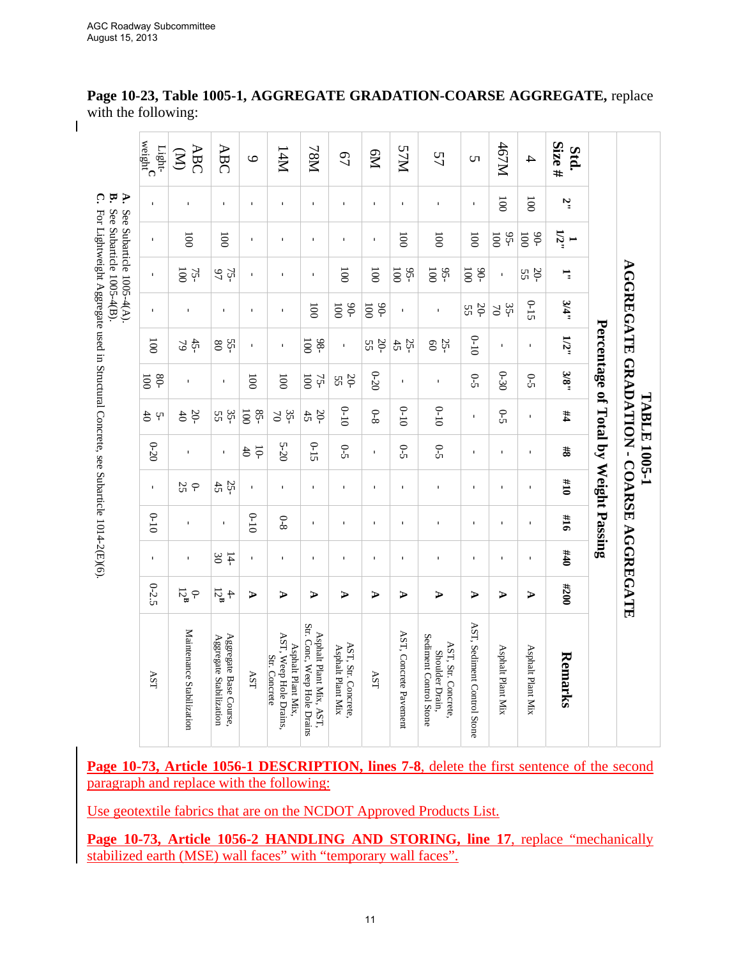$\overline{\phantom{a}}$ 

|                            |                                          |                                                        |                         |                         |                         |                                                                                     | TABLE 1005-1              |               |                |              |                          | <b>AGGREGATE GRADATION - COARSE AGGREGATE</b> |                                                                  |
|----------------------------|------------------------------------------|--------------------------------------------------------|-------------------------|-------------------------|-------------------------|-------------------------------------------------------------------------------------|---------------------------|---------------|----------------|--------------|--------------------------|-----------------------------------------------|------------------------------------------------------------------|
|                            |                                          |                                                        |                         |                         |                         | Percentage of Total by Weight Passing                                               |                           |               |                |              |                          |                                               |                                                                  |
| Size $#$<br>Std.           | ζ.                                       | $\frac{1}{12}$                                         | ゠゙                      | 3/4"                    | 1/2"                    | 3/8"                                                                                | #4                        | 8#            | 01#            | 91#          | 011                      | 007#                                          | Remarks                                                          |
| $\overline{\mathcal{A}}$   | $\overline{5}$                           | $-06$<br>$\overline{0}0$                               | $20 - 55$               | $0 - 15$                | $\mathbf I$             | $\overline{S}$                                                                      | $\mathbf I$               | $\mathbf{I}$  | $\mathbf I$    | $\mathbf{I}$ | $\mathbf{I}$             | $\blacktriangleright$                         | Asphalt Plant Mix                                                |
| 167M                       | $\overline{0}$                           | $95-$<br>$\overline{5}$                                | $\mathbf{r}$            | $35-$<br>$\gtrsim$      | $\mathbf I$             | $0 - 30$                                                                            | $6-5$                     | $\mathbf{r}$  | $\blacksquare$ | $\mathbf{r}$ | $\blacksquare$           | ⋗                                             | Asphalt Plant Mix                                                |
| <b>υ</b>                   | $\mathbf{I}$                             | $\overline{5}$                                         | $-06$<br>$\overline{5}$ | 20-<br>5S               | $0 - 10$                | $0-5$                                                                               | $\mathbf{r}$              | $\mathbf{r}$  | $\mathbf{I}$   | $\mathbf{r}$ | $\mathbf{I}$             | ⋗                                             | AST, Sediment Control Stone                                      |
| 57                         | $\mathbf{I}$                             | $\overline{0}$                                         | 95-<br>100              | $\mathbf{I}$            | 25                      | $\mathbf{I}$                                                                        | $0 - 10$                  | $0 - 5$       | $\mathbf I$    | $\mathbf{I}$ | $\mathbf I$              | ⋗                                             | Sediment Control Stone<br>AST, Str. Concrete,<br>Shoulder Drain, |
| <b>NLS</b>                 | $\mathbf{I}$                             | $\overline{5}$                                         | $95-$<br>$\overline{5}$ | $\mathbf{I}$            | $25 + 42$               | $\mathbf{I}$                                                                        | $0 - 10$                  | $0 - 5$       | $\mathbf{I}$   | $\mathbf{I}$ | $\mathbf{I}$             | ⋗                                             | AST, Concrete Pavement                                           |
| <b>PM</b>                  | $\mathbf{I}$                             | Ť.                                                     | $\overline{0}0$         | $-06$<br>$\overline{5}$ | $50-$<br>55             | $0 - 20$                                                                            | $8 - 0$                   | r.            | f.             | $\mathbf{I}$ | T.                       | ⋗                                             | AST                                                              |
| $\overline{67}$            | $\mathbf{I}$                             | $\mathbf{I}$                                           | $\overline{5}$          | $-06$<br>$\overline{5}$ | T,                      | $20 - 52$                                                                           | $0 - 10$                  | $6-5$         | $\mathbf{I}$   | $\mathbf{I}$ | $\mathbf I$              | ⋗                                             | AST, Str. Concrete,<br>Asphalt Plant Mix                         |
| <b>N8L</b>                 | $\mathbf{I}$                             | Ť.                                                     | $\mathbf{r}$            | $\overline{5}$          | $-86$<br>$\overline{5}$ | $\overline{5}$<br>$75-$                                                             | $\frac{20}{45}$           | $0 - 15$      | $\mathbf{L}$   | $\mathbf{r}$ | $\mathbf{I}$             | ⋗                                             | Str. Conc, Weep Hole Drains<br>Asphalt Plant Mix, AST,           |
| I4M                        | $\mathbf{I}$                             | $\mathbf{I}$                                           | $\mathbf{I}$            | $\mathbf{I}$            | $\mathbf I$             | $\overline{5}$                                                                      | $35-$<br>$\gtrsim$        | 5-20          | $\mathbf{I}$   | $0 - 8$      | $\mathbf{I}$             | ⋗                                             | AST, Weep Hole Drains.<br>Asphalt Plant Mix.<br>Str. Concrete    |
| $\circ$                    | $\mathbf{I}$                             | $\mathbf{I}$                                           | $\mathbf{r}$            | $\mathbf{I}$            |                         | $\overline{5}$                                                                      | $-58$<br>$\overline{100}$ | $\frac{5}{6}$ |                | $0 - 10$     | $\mathbf{L}$             | ⋗                                             | $\Delta \text{ST}$                                               |
| <b>ABC</b>                 | $\mathbf{I}$                             | $\overline{0}0$                                        | $75 - 97$               | $\mathbf{I}$            | $55 - 20$               | $\mathbf{I}$                                                                        | 35-<br>55                 | $\mathbf{I}$  | $25 + 42$      | $\mathbf{I}$ | $30\,$<br>$\overline{4}$ | $\frac{4}{12}$ <sup>4</sup>                   | Aggregate Base Course.<br>Aggregate Stabilization                |
| <b>ABC</b><br>$\mathbf{S}$ | $\mathbf{I}$                             | $\overline{5}$                                         | 75-                     | $\mathbf{I}$            | $45 - 79$               | $\mathbf{I}$                                                                        | 56                        | $\mathbf{I}$  | $O -$          | $\mathbf I$  | $\mathbf I$              | $0\text{--}^{\text{B}}$                       | Maintenance Stabilization                                        |
| $weight^C$<br>Light-       | $\mathbf{r}$                             | $\mathbf{I}$                                           | $\bar{\mathbf{I}}$      | $\mathbf I$             | $\overline{0}0$         | $-08$<br>$\overline{5}$                                                             | $2^1$                     | $0 - 20$      | $\mathbf{I}$   | $0 - 10$     | $\mathbf I$              | $0 - 2.5$                                     | AST                                                              |
|                            | $\mathbf{B}$ C.<br>$\blacktriangleright$ | See Subarticle 1005-4(B).<br>See Subarticle 1005-4(A). |                         |                         |                         | For Lightweight Aggregate used in Structural Concrete, see Subarticle 1014-2(E)(6). |                           |               |                |              |                          |                                               |                                                                  |

**Page 10-23, Table 1005-1, AGGREGATE GRADATION-COARSE AGGREGATE,** replace with the following:

**Page 10-73, Article 1056-1 DESCRIPTION, lines 7-8**, delete the first sentence of the second paragraph and replace with the following:

Use geotextile fabrics that are on the NCDOT Approved Products List.

Page 10-73, Article 1056-2 HANDLING AND STORING, line 17, replace "mechanically stabilized earth (MSE) wall faces" with "temporary wall faces".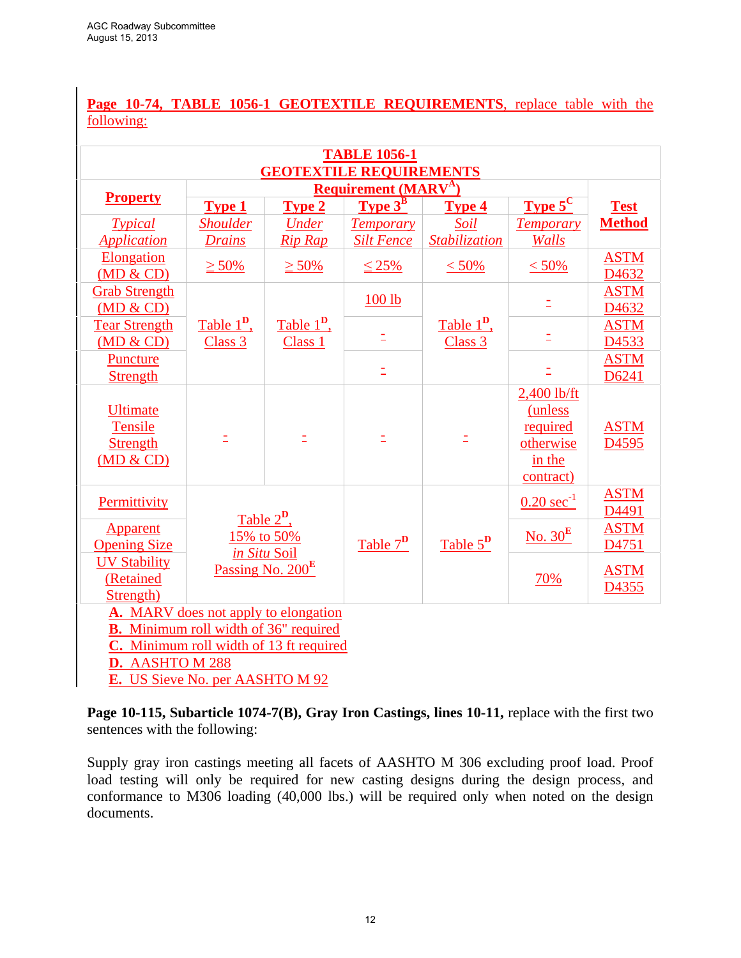**Page 10-74, TABLE 1056-1 GEOTEXTILE REQUIREMENTS**, replace table with the following:

|                                                                   |                                              |                                     | <b>TABLE 1056-1</b><br><b>GEOTEXTILE REQUIREMENTS</b> |                                     |                                                                                 |                                  |
|-------------------------------------------------------------------|----------------------------------------------|-------------------------------------|-------------------------------------------------------|-------------------------------------|---------------------------------------------------------------------------------|----------------------------------|
|                                                                   |                                              |                                     | <b>Requirement (MARV<sup>A</sup>)</b>                 |                                     |                                                                                 |                                  |
| <b>Property</b>                                                   | <b>Type 1</b>                                | <b>Type 2</b>                       | <b>Type <math>3^B</math></b>                          | <b>Type 4</b>                       | <b>Type 5<sup>C</sup></b>                                                       | <b>Test</b>                      |
| <b>Typical</b>                                                    | <b>Shoulder</b>                              | <b>Under</b>                        | <b>Temporary</b>                                      | Soil                                | <b>Temporary</b>                                                                | <b>Method</b>                    |
| <b>Application</b>                                                | <b>Drains</b>                                | <b>Rip Rap</b>                      | <b>Silt Fence</b>                                     | Stabilization                       | Walls                                                                           |                                  |
| Elongation<br>(MD & CD)                                           | $\geq 50\%$                                  | $\geq 50\%$                         | $\leq 25\%$                                           | $< 50\%$                            | $< 50\%$                                                                        | <b>ASTM</b><br>D4632             |
| <b>Grab Strength</b><br>(MD & CD)                                 |                                              |                                     | 100 lb                                                |                                     | Ξ                                                                               | <b>ASTM</b><br>D4632             |
| <b>Tear Strength</b><br>(MD & CD)                                 | Table $1^{\mathbf{D}}$ ,<br>Class 3          | Table $1^{\mathbf{D}}$ ,<br>Class 1 | Ξ                                                     | Table $1^{\mathbf{D}}$ ,<br>Class 3 | Ξ                                                                               | <b>ASTM</b><br>D4533             |
| Puncture<br><b>Strength</b>                                       |                                              |                                     | $\bar{\Xi}$                                           |                                     | $\bar{\Xi}$                                                                     | <b>ASTM</b><br>D6241             |
| <b>Ultimate</b><br><b>Tensile</b><br><b>Strength</b><br>(MD & CD) |                                              | Ξ                                   | Ξ                                                     |                                     | 2,400 lb/ft<br><i>(unless</i> )<br>required<br>otherwise<br>in the<br>contract) | <b>ASTM</b><br>D <sub>4595</sub> |
| Permittivity                                                      |                                              | Table $2^{\mathbf{D}}$ ,            |                                                       |                                     | $0.20 \text{ sec}^{-1}$                                                         | <b>ASTM</b><br>D4491             |
| Apparent<br><b>Opening Size</b>                                   | 15% to 50%<br>in Situ Soil                   |                                     | Table $7^{\mathrm{D}}$                                | Table $5^D$                         | No. $30^{\rm E}$                                                                | <b>ASTM</b><br>D4751             |
| <b>UV Stability</b><br>(Retained<br>Strength)                     |                                              | Passing No. 200 <sup>E</sup>        |                                                       |                                     | <u>70%</u>                                                                      | <b>ASTM</b><br>D <sub>4355</sub> |
|                                                                   | A. MARV does not apply to elongation         |                                     |                                                       |                                     |                                                                                 |                                  |
|                                                                   | <b>B.</b> Minimum roll width of 36" required |                                     |                                                       |                                     |                                                                                 |                                  |

**C.** Minimum roll width of 13 ft required

**D.** AASHTO M 288

**E.** US Sieve No. per AASHTO M 92

Page 10-115, Subarticle 1074-7(B), Gray Iron Castings, lines 10-11, replace with the first two sentences with the following:

Supply gray iron castings meeting all facets of AASHTO M 306 excluding proof load. Proof load testing will only be required for new casting designs during the design process, and conformance to M306 loading (40,000 lbs.) will be required only when noted on the design documents.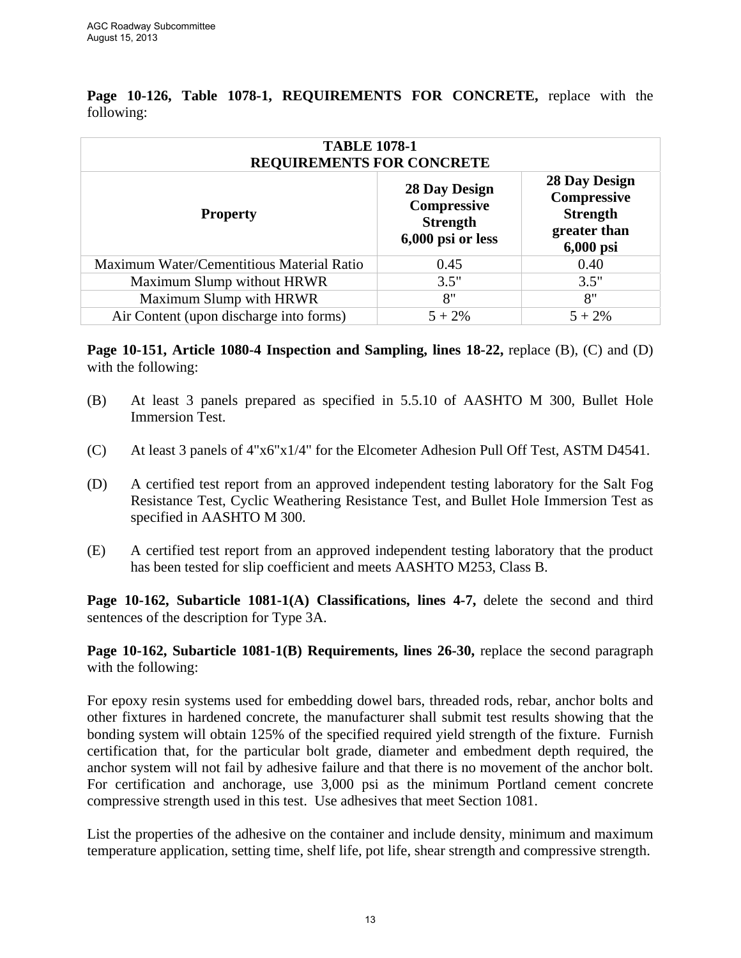| <b>TABLE 1078-1</b><br><b>REQUIREMENTS FOR CONCRETE</b> |                                                                      |                                                                                     |
|---------------------------------------------------------|----------------------------------------------------------------------|-------------------------------------------------------------------------------------|
| <b>Property</b>                                         | 28 Day Design<br>Compressive<br><b>Strength</b><br>6,000 psi or less | <b>28 Day Design</b><br>Compressive<br><b>Strength</b><br>greater than<br>6,000 psi |
| Maximum Water/Cementitious Material Ratio               | 0.45                                                                 | 0.40                                                                                |
| Maximum Slump without HRWR                              | 3.5"                                                                 | 3.5"                                                                                |
| Maximum Slump with HRWR                                 | 8"                                                                   | 8"                                                                                  |
| Air Content (upon discharge into forms)                 | $5 + 2\%$                                                            | $5 + 2\%$                                                                           |

**Page 10-126, Table 1078-1, REQUIREMENTS FOR CONCRETE,** replace with the following:

**Page 10-151, Article 1080-4 Inspection and Sampling, lines 18-22,** replace (B), (C) and (D) with the following:

- (B) At least 3 panels prepared as specified in 5.5.10 of AASHTO M 300, Bullet Hole Immersion Test.
- (C) At least 3 panels of 4"x6"x1/4" for the Elcometer Adhesion Pull Off Test, ASTM D4541.
- (D) A certified test report from an approved independent testing laboratory for the Salt Fog Resistance Test, Cyclic Weathering Resistance Test, and Bullet Hole Immersion Test as specified in AASHTO M 300.
- (E) A certified test report from an approved independent testing laboratory that the product has been tested for slip coefficient and meets AASHTO M253, Class B.

**Page 10-162, Subarticle 1081-1(A) Classifications, lines 4-7,** delete the second and third sentences of the description for Type 3A.

**Page 10-162, Subarticle 1081-1(B) Requirements, lines 26-30, replace the second paragraph** with the following:

For epoxy resin systems used for embedding dowel bars, threaded rods, rebar, anchor bolts and other fixtures in hardened concrete, the manufacturer shall submit test results showing that the bonding system will obtain 125% of the specified required yield strength of the fixture. Furnish certification that, for the particular bolt grade, diameter and embedment depth required, the anchor system will not fail by adhesive failure and that there is no movement of the anchor bolt. For certification and anchorage, use 3,000 psi as the minimum Portland cement concrete compressive strength used in this test. Use adhesives that meet Section 1081.

List the properties of the adhesive on the container and include density, minimum and maximum temperature application, setting time, shelf life, pot life, shear strength and compressive strength.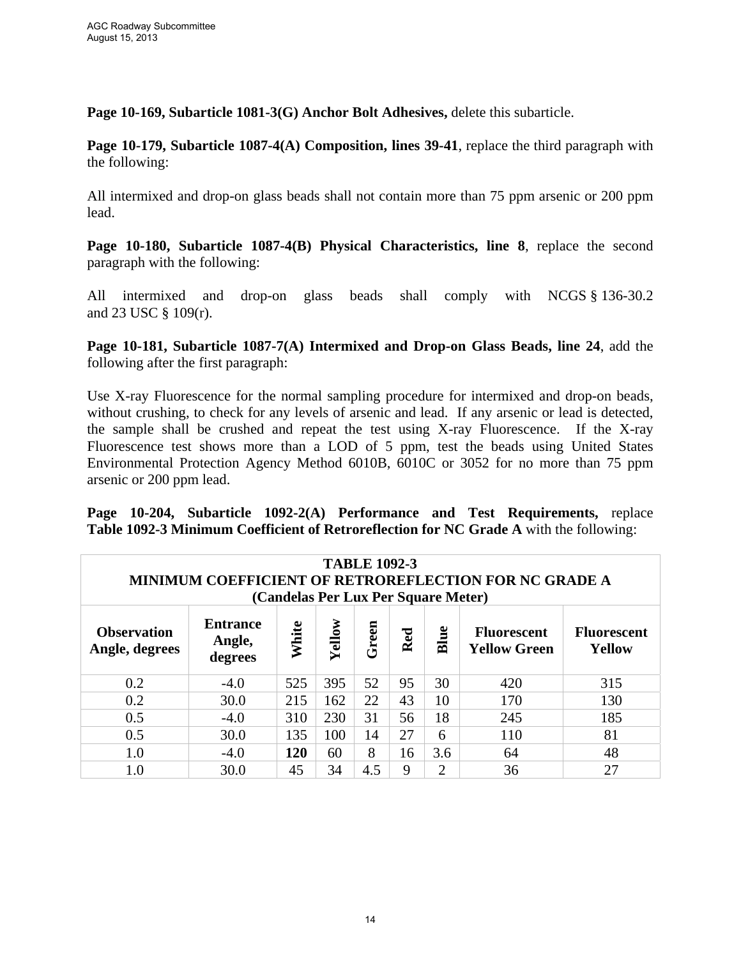**Page 10-169, Subarticle 1081-3(G) Anchor Bolt Adhesives,** delete this subarticle.

**Page 10-179, Subarticle 1087-4(A) Composition, lines 39-41**, replace the third paragraph with the following:

All intermixed and drop-on glass beads shall not contain more than 75 ppm arsenic or 200 ppm lead.

**Page 10-180, Subarticle 1087-4(B) Physical Characteristics, line 8**, replace the second paragraph with the following:

All intermixed and drop-on glass beads shall comply with NCGS § 136-30.2 and 23 USC § 109(r).

**Page 10-181, Subarticle 1087-7(A) Intermixed and Drop-on Glass Beads, line 24**, add the following after the first paragraph:

Use X-ray Fluorescence for the normal sampling procedure for intermixed and drop-on beads, without crushing, to check for any levels of arsenic and lead. If any arsenic or lead is detected, the sample shall be crushed and repeat the test using X-ray Fluorescence. If the X-ray Fluorescence test shows more than a LOD of 5 ppm, test the beads using United States Environmental Protection Agency Method 6010B, 6010C or 3052 for no more than 75 ppm arsenic or 200 ppm lead.

**Page 10-204, Subarticle 1092-2(A) Performance and Test Requirements,** replace **Table 1092-3 Minimum Coefficient of Retroreflection for NC Grade A** with the following:

|                                      |                                      | (Candelas Per Lux Per Square Meter) |        | <b>TABLE 1092-3</b> |     |                | <b>MINIMUM COEFFICIENT OF RETROREFLECTION FOR NC GRADE A</b> |                              |
|--------------------------------------|--------------------------------------|-------------------------------------|--------|---------------------|-----|----------------|--------------------------------------------------------------|------------------------------|
| <b>Observation</b><br>Angle, degrees | <b>Entrance</b><br>Angle,<br>degrees | White                               | Yellow | Green               | Red | Blue           | <b>Fluorescent</b><br><b>Yellow Green</b>                    | <b>Fluorescent</b><br>Yellow |
| 0.2                                  | $-4.0$                               | 525                                 | 395    | 52                  | 95  | 30             | 420                                                          | 315                          |
| 0.2                                  | 30.0                                 | 215                                 | 162    | 22                  | 43  | 10             | 170                                                          | 130                          |
| 0.5                                  | $-4.0$                               | 310                                 | 230    | 31                  | 56  | 18             | 245                                                          | 185                          |
| 0.5                                  | 30.0                                 | 135                                 | 100    | 14                  | 27  | 6              | 110                                                          | 81                           |
| 1.0                                  | $-4.0$                               | 120                                 | 60     | 8                   | 16  | 3.6            | 64                                                           | 48                           |
| 1.0                                  | 30.0                                 | 45                                  | 34     | 4.5                 | 9   | $\overline{2}$ | 36                                                           | 27                           |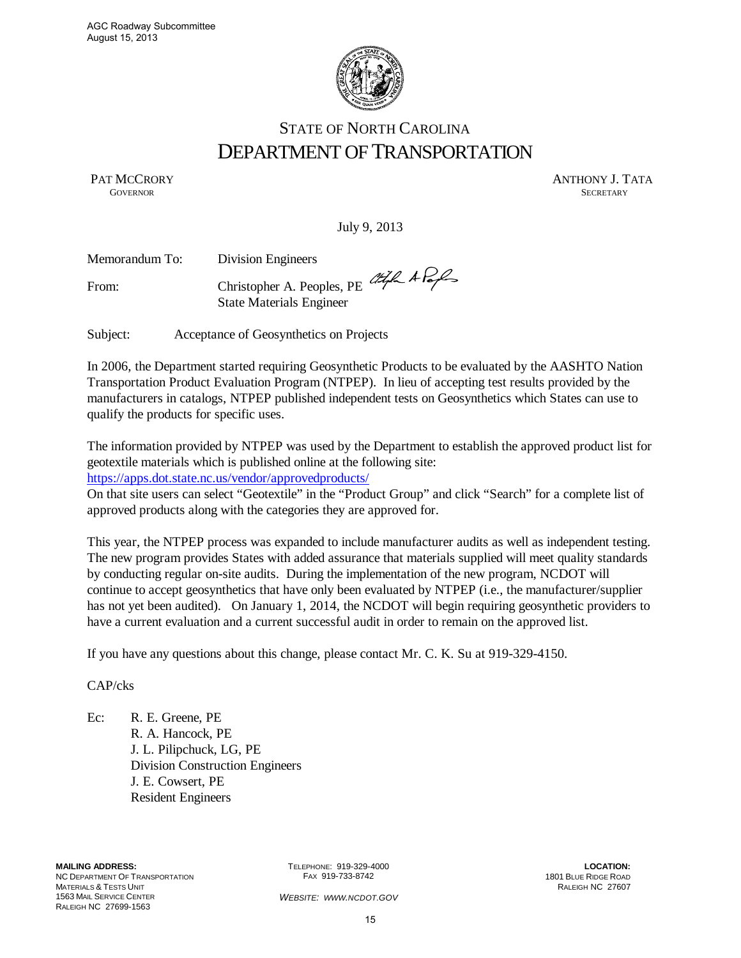

# STATE OF NORTH CAROLINA DEPARTMENT OF TRANSPORTATION

PAT MCCRORY ANTHONY J. TATA GOVERNOR SECRETARY **GOVERNOR SECRETARY** SECRETARY

July 9, 2013

| Memorandum To: | <b>Division Engineers</b>                                           |  |
|----------------|---------------------------------------------------------------------|--|
| From:          | Christopher A. Peoples, PE CHLAP<br><b>State Materials Engineer</b> |  |
| Subject:       | Acceptance of Geosynthetics on Projects                             |  |

In 2006, the Department started requiring Geosynthetic Products to be evaluated by the AASHTO Nation Transportation Product Evaluation Program (NTPEP). In lieu of accepting test results provided by the manufacturers in catalogs, NTPEP published independent tests on Geosynthetics which States can use to qualify the products for specific uses.

The information provided by NTPEP was used by the Department to establish the approved product list for geotextile materials which is published online at the following site:

https://apps.dot.state.nc.us/vendor/approvedproducts/

On that site users can select "Geotextile" in the "Product Group" and click "Search" for a complete list of approved products along with the categories they are approved for.

This year, the NTPEP process was expanded to include manufacturer audits as well as independent testing. The new program provides States with added assurance that materials supplied will meet quality standards by conducting regular on-site audits. During the implementation of the new program, NCDOT will continue to accept geosynthetics that have only been evaluated by NTPEP (i.e., the manufacturer/supplier has not yet been audited). On January 1, 2014, the NCDOT will begin requiring geosynthetic providers to have a current evaluation and a current successful audit in order to remain on the approved list.

If you have any questions about this change, please contact Mr. C. K. Su at 919-329-4150.

CAP/cks

Ec: R. E. Greene, PE R. A. Hancock, PE J. L. Pilipchuck, LG, PE Division Construction Engineers J. E. Cowsert, PE Resident Engineers

TELEPHONE: 919-329-4000 FAX 919-733-8742

**LOCATION:**  1801 BLUE RIDGE ROAD RALEIGH NC 27607

WEBSITE: WWW.NCDOT.GOV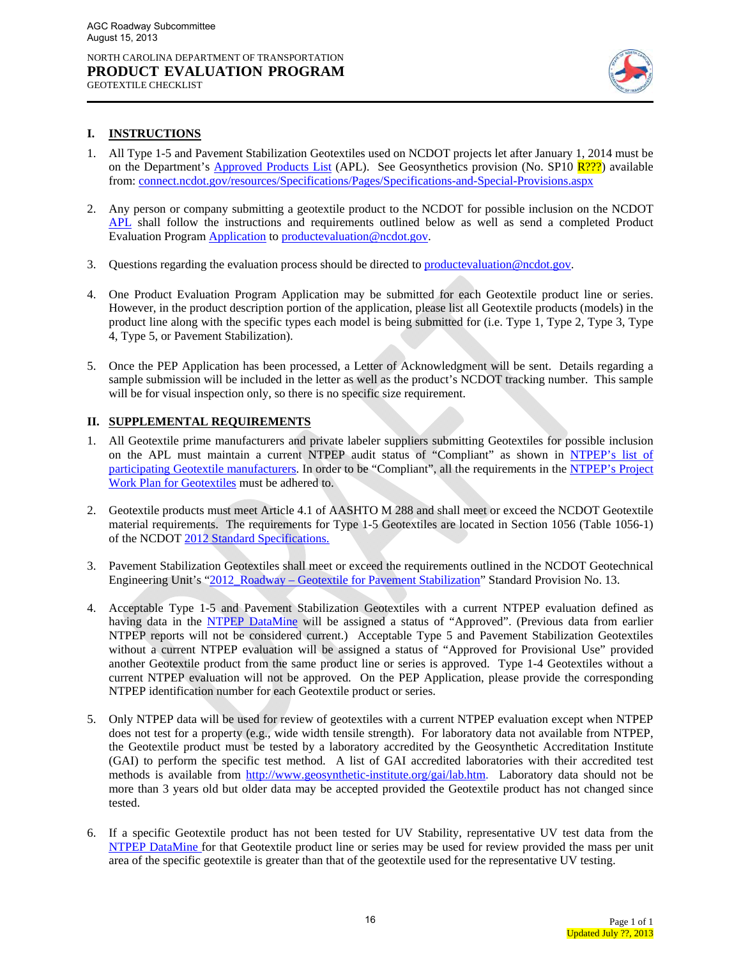

#### **I. INSTRUCTIONS**

GEOTEXTILE CHECKLIST

- 1. All Type 1-5 and Pavement Stabilization Geotextiles used on NCDOT projects let after January 1, 2014 must be on the Department's Approved Products List (APL). See Geosynthetics provision (No. SP10  $\frac{R??}{?}$ ) available from: connect.ncdot.gov/resources/Specifications/Pages/Specifications-and-Special-Provisions.aspx
- 2. Any person or company submitting a geotextile product to the NCDOT for possible inclusion on the NCDOT APL shall follow the instructions and requirements outlined below as well as send a completed Product Evaluation Program Application to productevaluation@ncdot.gov.
- 3. Questions regarding the evaluation process should be directed to **productevaluation@ncdot.gov**.
- 4. One Product Evaluation Program Application may be submitted for each Geotextile product line or series. However, in the product description portion of the application, please list all Geotextile products (models) in the product line along with the specific types each model is being submitted for (i.e. Type 1, Type 2, Type 3, Type 4, Type 5, or Pavement Stabilization).
- 5. Once the PEP Application has been processed, a Letter of Acknowledgment will be sent. Details regarding a sample submission will be included in the letter as well as the product's NCDOT tracking number. This sample will be for visual inspection only, so there is no specific size requirement.

#### **II. SUPPLEMENTAL REQUIREMENTS**

- 1. All Geotextile prime manufacturers and private labeler suppliers submitting Geotextiles for possible inclusion on the APL must maintain a current NTPEP audit status of "Compliant" as shown in NTPEP's list of participating Geotextile manufacturers. In order to be "Compliant", all the requirements in the NTPEP's Project Work Plan for Geotextiles must be adhered to.
- 2. Geotextile products must meet Article 4.1 of AASHTO M 288 and shall meet or exceed the NCDOT Geotextile material requirements. The requirements for Type 1-5 Geotextiles are located in Section 1056 (Table 1056-1) of the NCDOT 2012 Standard Specifications.
- 3. Pavement Stabilization Geotextiles shall meet or exceed the requirements outlined in the NCDOT Geotechnical Engineering Unit's "2012\_Roadway – Geotextile for Pavement Stabilization" Standard Provision No. 13.
- 4. Acceptable Type 1-5 and Pavement Stabilization Geotextiles with a current NTPEP evaluation defined as having data in the NTPEP DataMine will be assigned a status of "Approved". (Previous data from earlier NTPEP reports will not be considered current.) Acceptable Type 5 and Pavement Stabilization Geotextiles without a current NTPEP evaluation will be assigned a status of "Approved for Provisional Use" provided another Geotextile product from the same product line or series is approved. Type 1-4 Geotextiles without a current NTPEP evaluation will not be approved. On the PEP Application, please provide the corresponding NTPEP identification number for each Geotextile product or series.
- 5. Only NTPEP data will be used for review of geotextiles with a current NTPEP evaluation except when NTPEP does not test for a property (e.g., wide width tensile strength). For laboratory data not available from NTPEP, the Geotextile product must be tested by a laboratory accredited by the Geosynthetic Accreditation Institute (GAI) to perform the specific test method. A list of GAI accredited laboratories with their accredited test methods is available from http://www.geosynthetic-institute.org/gai/lab.htm. Laboratory data should not be more than 3 years old but older data may be accepted provided the Geotextile product has not changed since tested.
- 6. If a specific Geotextile product has not been tested for UV Stability, representative UV test data from the NTPEP DataMine for that Geotextile product line or series may be used for review provided the mass per unit area of the specific geotextile is greater than that of the geotextile used for the representative UV testing.